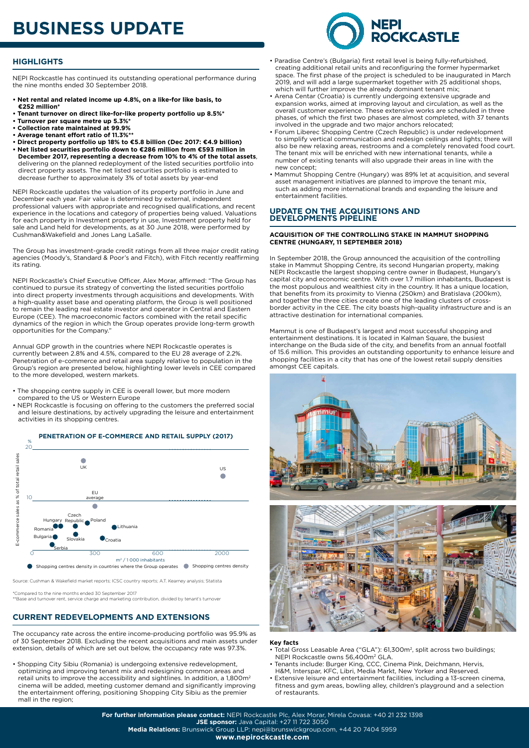# **BUSINESS UPDATE**



## **HIGHLIGHTS**

NEPI Rockcastle has continued its outstanding operational performance during the nine months ended 30 September 2018.

- **Net rental and related income up 4.8%, on a like-for like basis, to €252 million\***
- **Tenant turnover on direct like-for-like property portfolio up 8.5%\***
- **Turnover per square metre up 5.3%\***
- **Collection rate maintained at 99.9% • Average tenant effort ratio of 11.3%\*\***
- **Direct property portfolio up 18% to €5.8 billion (Dec 2017: €4.9 billion)**
- **Net listed securities portfolio down to €286 million from €593 million in December 2017, representing a decrease from 10% to 4% of the total assets**, delivering on the planned redeployment of the listed securities portfolio into direct property assets. The net listed securities portfolio is estimated to decrease further to approximately 3% of total assets by year-end

NEPI Rockcastle updates the valuation of its property portfolio in June and December each year. Fair value is determined by external, independent professional valuers with appropriate and recognised qualifications, and recent experience in the locations and category of properties being valued. Valuations for each property in Investment property in use, Investment property held for sale and Land held for developments, as at 30 June 2018, were performed by Cushman&Wakefield and Jones Lang LaSalle.

The Group has investment-grade credit ratings from all three major credit rating agencies (Moody's, Standard & Poor's and Fitch), with Fitch recently reaffirming its rating.

NEPI Rockcastle's Chief Executive Officer, Alex Morar, affirmed: "The Group has continued to pursue its strategy of converting the listed securities portfolio into direct property investments through acquisitions and developments. With a high-quality asset base and operating platform, the Group is well positioned to remain the leading real estate investor and operator in Central and Eastern Europe (CEE). The macroeconomic factors combined with the retail specific dynamics of the region in which the Group operates provide long-term growth opportunities for the Company."

Annual GDP growth in the countries where NEPI Rockcastle operates is currently between 2.8% and 4.5%, compared to the EU 28 average of 2.2%. Penetration of e-commerce and retail area supply relative to population in the Group's region are presented below, highlighting lower levels in CEE compared to the more developed, western markets.

- The shopping centre supply in CEE is overall lower, but more modern compared to the US or Western Europe
- NEPI Rockcastle is focusing on offering to the customers the preferred social and leisure destinations, by actively upgrading the leisure and entertainment activities in its shopping centres.



Source: Cushman & Wakefield market reports; ICSC country reports; A.T. Kearney analysis; Statista

\*Compared to the nine months ended 30 September 2017 \*\*Base and turnover rent, service charge and marketing contribution, divided by tenant's turnover

## **CURRENT REDEVELOPMENTS AND EXTENSIONS**

The occupancy rate across the entire income-producing portfolio was 95.9% as of 30 September 2018. Excluding the recent acquisitions and main assets under extension, details of which are set out below, the occupancy rate was 97.3%.

• Shopping City Sibiu (Romania) is undergoing extensive redevelopment, optimizing and improving tenant mix and redesigning common areas and retail units to improve the accessibility and sightlines. In addition, a 1,800m<sup>2</sup> cinema will be added, meeting customer demand and significantly improving the entertainment offering, positioning Shopping City Sibiu as the premier mall in the region;

- Paradise Centre's (Bulgaria) first retail level is being fully-refurbished, creating additional retail units and reconfiguring the former hypermarket space. The first phase of the project is scheduled to be inaugurated in March 2019, and will add a large supermarket together with 25 additional shops, which will further improve the already dominant tenant mix;
- Arena Centar (Croatia) is currently undergoing extensive upgrade and expansion works, aimed at improving layout and circulation, as well as the overall customer experience. These extensive works are scheduled in three phases, of which the first two phases are almost completed, with 37 tenants involved in the upgrade and two major anchors relocated;
- Forum Liberec Shopping Centre (Czech Republic) is under redevelopment to simplify vertical communication and redesign ceilings and lights; there will also be new relaxing areas, restrooms and a completely renovated food court. The tenant mix will be enriched with new international tenants, while a number of existing tenants will also upgrade their areas in line with the new concept;
- Mammut Shopping Centre (Hungary) was 89% let at acquisition, and several asset management initiatives are planned to improve the tenant mix, such as adding more international brands and expanding the leisure and entertainment facilities.

### **UPDATE ON THE ACQUISITIONS AND DEVELOPMENTS PIPELINE**

#### **ACQUISITION OF THE CONTROLLING STAKE IN MAMMUT SHOPPING CENTRE (HUNGARY, 11 SEPTEMBER 2018)**

In September 2018, the Group announced the acquisition of the controlling stake in Mammut Shopping Centre, its second Hungarian property, making NEPI Rockcastle the largest shopping centre owner in Budapest, Hungary's capital city and economic centre. With over 1.7 million inhabitants, Budapest is the most populous and wealthiest city in the country. It has a unique location, that benefits from its proximity to Vienna (250km) and Bratislava (200km), and together the three cities create one of the leading clusters of crossborder activity in the CEE. The city boasts high-quality infrastructure and is an attractive destination for international companies.

Mammut is one of Budapest's largest and most successful shopping and entertainment destinations. It is located in Kalman Square, the busiest interchange on the Buda side of the city, and benefits from an annual footfall of 15.6 million. This provides an outstanding opportunity to enhance leisure and shopping facilities in a city that has one of the lowest retail supply densities amongst CEE capitals.



### **Key facts**

of restaurants.

- Total Gross Leasable Area ("GLA"): 61,300m2, split across two buildings; NEPI Rockcastle owns 56,400m<sup>2</sup> GLA.
- Tenants include: Burger King, CCC, Cinema Pink, Deichmann, Hervis, H&M, Interspar, KFC, Libri, Media Markt, New Yorker and Reserved.
- Extensive leisure and entertainment facilities, including a 13-screen cinema, fitness and gym areas, bowling alley, children's playground and a selection

**For further information please contact:** NEPI Rockcastle Plc, Alex Morar, Mirela Covasa: +40 21 232 1398 **JSE sponsor:** Java Capital: +27 11 722 3050 **Media Relations:** Brunswick Group LLP: nepi@brunswickgroup.com, +44 20 7404 5959